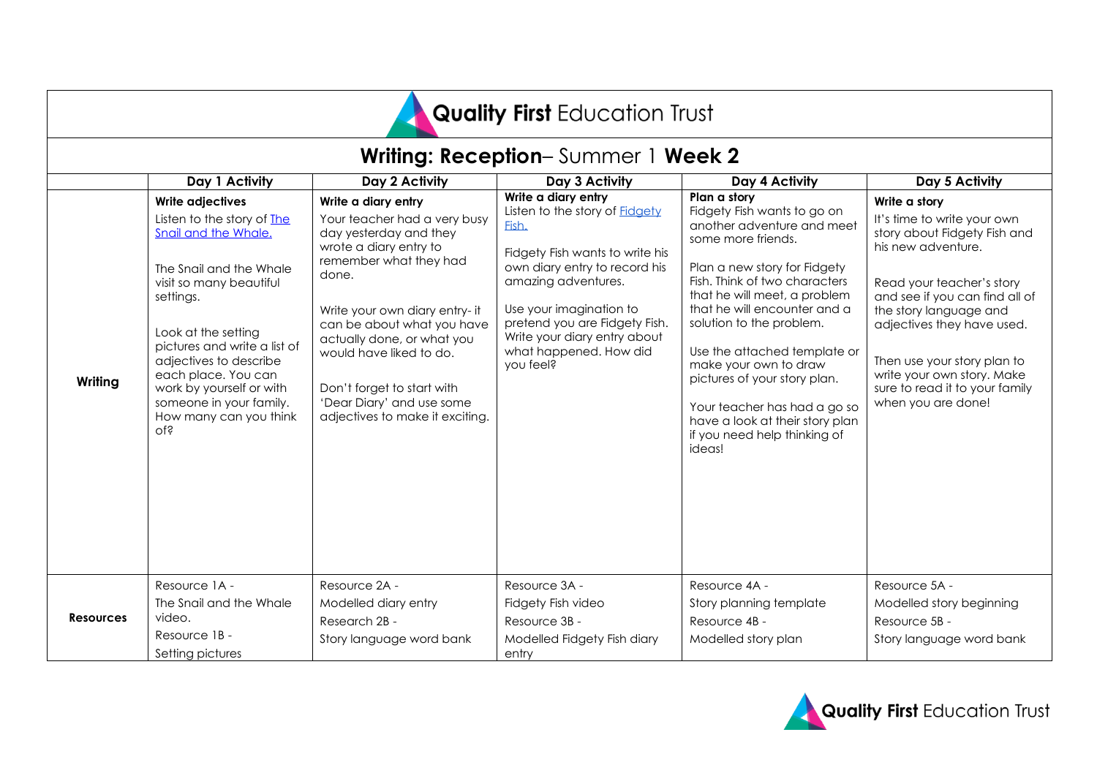| <b>Quality First</b> Education Trust |                                                                                                                                                                                                                                                                                                                                                |                                                                                                                                                                                                                                                                                                                                                                   |                                                                                                                                                                                                                                                                                                     |                                                                                                                                                                                                                                                                                                                                                                                                                                                                    |                                                                                                                                                                                                                                                                                                                                                |  |  |
|--------------------------------------|------------------------------------------------------------------------------------------------------------------------------------------------------------------------------------------------------------------------------------------------------------------------------------------------------------------------------------------------|-------------------------------------------------------------------------------------------------------------------------------------------------------------------------------------------------------------------------------------------------------------------------------------------------------------------------------------------------------------------|-----------------------------------------------------------------------------------------------------------------------------------------------------------------------------------------------------------------------------------------------------------------------------------------------------|--------------------------------------------------------------------------------------------------------------------------------------------------------------------------------------------------------------------------------------------------------------------------------------------------------------------------------------------------------------------------------------------------------------------------------------------------------------------|------------------------------------------------------------------------------------------------------------------------------------------------------------------------------------------------------------------------------------------------------------------------------------------------------------------------------------------------|--|--|
| Writing: Reception-Summer 1 Week 2   |                                                                                                                                                                                                                                                                                                                                                |                                                                                                                                                                                                                                                                                                                                                                   |                                                                                                                                                                                                                                                                                                     |                                                                                                                                                                                                                                                                                                                                                                                                                                                                    |                                                                                                                                                                                                                                                                                                                                                |  |  |
|                                      | Day 1 Activity                                                                                                                                                                                                                                                                                                                                 | Day 2 Activity                                                                                                                                                                                                                                                                                                                                                    | Day 3 Activity                                                                                                                                                                                                                                                                                      | Day 4 Activity                                                                                                                                                                                                                                                                                                                                                                                                                                                     | Day 5 Activity                                                                                                                                                                                                                                                                                                                                 |  |  |
| Writing                              | Write adjectives<br>Listen to the story of The<br>Snail and the Whale.<br>The Snail and the Whale<br>visit so many beautiful<br>settings.<br>Look at the setting<br>pictures and write a list of<br>adjectives to describe<br>each place. You can<br>work by yourself or with<br>someone in your family.<br>How many can you think<br>$C_{15}$ | Write a diary entry<br>Your teacher had a very busy<br>day yesterday and they<br>wrote a diary entry to<br>remember what they had<br>done.<br>Write your own diary entry- it<br>can be about what you have<br>actually done, or what you<br>would have liked to do.<br>Don't forget to start with<br>'Dear Diary' and use some<br>adjectives to make it exciting. | Write a diary entry<br>Listen to the story of <b>Fidgety</b><br>Fish.<br>Fidgety Fish wants to write his<br>own diary entry to record his<br>amazing adventures.<br>Use your imagination to<br>pretend you are Fidgety Fish.<br>Write your diary entry about<br>what happened. How did<br>you feel? | Plan a story<br>Fidgety Fish wants to go on<br>another adventure and meet<br>some more friends.<br>Plan a new story for Fidgety<br>Fish. Think of two characters<br>that he will meet, a problem<br>that he will encounter and a<br>solution to the problem.<br>Use the attached template or<br>make your own to draw<br>pictures of your story plan.<br>Your teacher has had a go so<br>have a look at their story plan<br>if you need help thinking of<br>ideas! | Write a story<br>It's time to write your own<br>story about Fidgety Fish and<br>his new adventure.<br>Read your teacher's story<br>and see if you can find all of<br>the story language and<br>adjectives they have used.<br>Then use your story plan to<br>write your own story. Make<br>sure to read it to your family<br>when you are done! |  |  |
| <b>Resources</b>                     | Resource 1A -<br>The Snail and the Whale<br>video.<br>Resource 1B-                                                                                                                                                                                                                                                                             | Resource 2A -<br>Modelled diary entry<br>Research 2B -<br>Story language word bank                                                                                                                                                                                                                                                                                | Resource 3A -<br>Fidgety Fish video<br>Resource 3B -<br>Modelled Fidgety Fish diary                                                                                                                                                                                                                 | Resource 4A -<br>Story planning template<br>Resource 4B -<br>Modelled story plan                                                                                                                                                                                                                                                                                                                                                                                   | Resource 5A -<br>Modelled story beginning<br>Resource 5B -<br>Story language word bank                                                                                                                                                                                                                                                         |  |  |
|                                      | Setting pictures                                                                                                                                                                                                                                                                                                                               |                                                                                                                                                                                                                                                                                                                                                                   | entry                                                                                                                                                                                                                                                                                               |                                                                                                                                                                                                                                                                                                                                                                                                                                                                    |                                                                                                                                                                                                                                                                                                                                                |  |  |

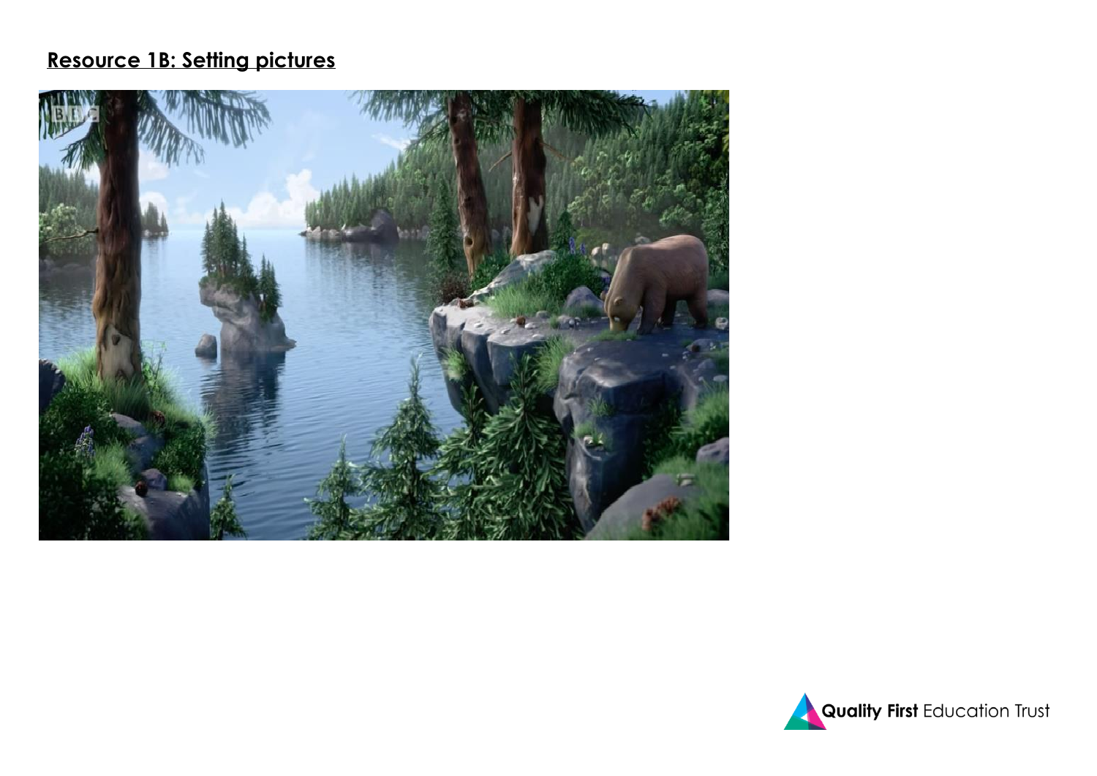# **Resource 1B: Setting pictures**



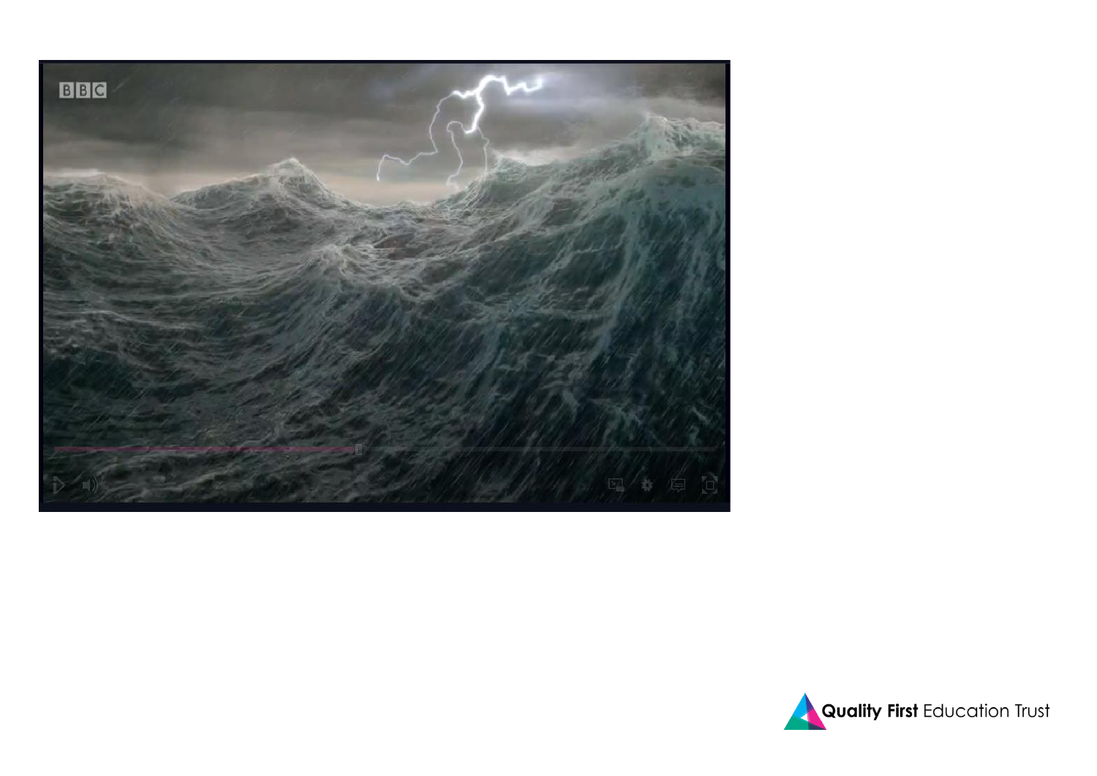

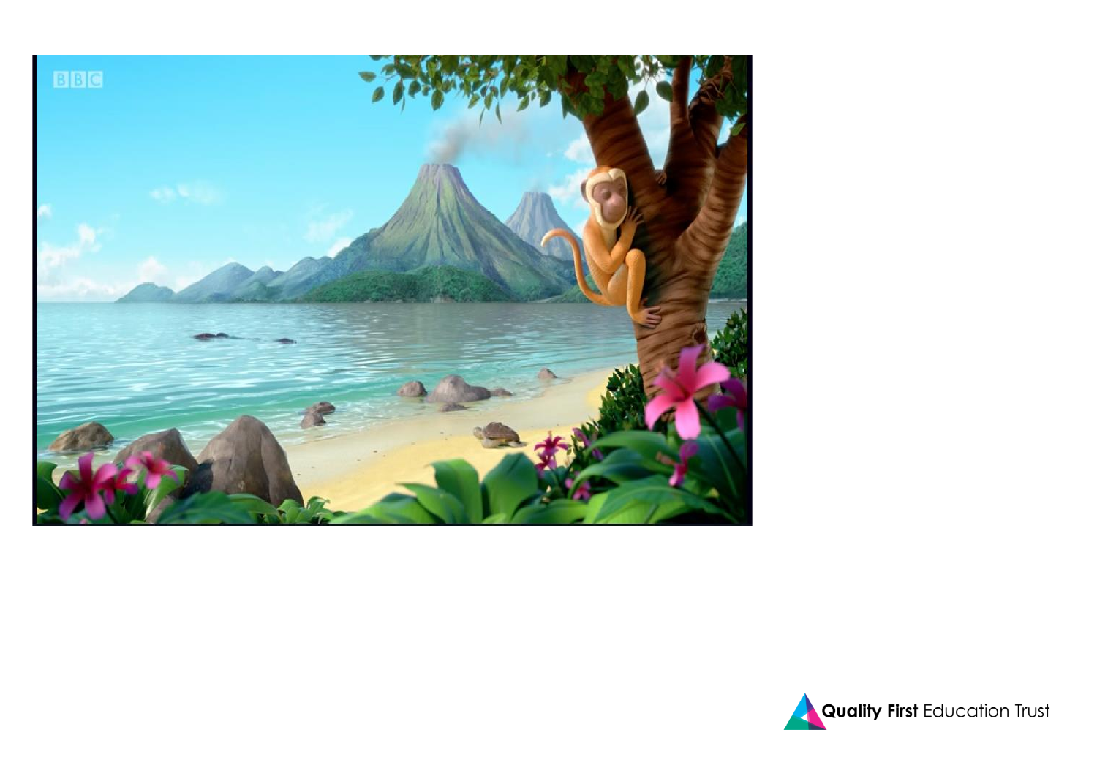

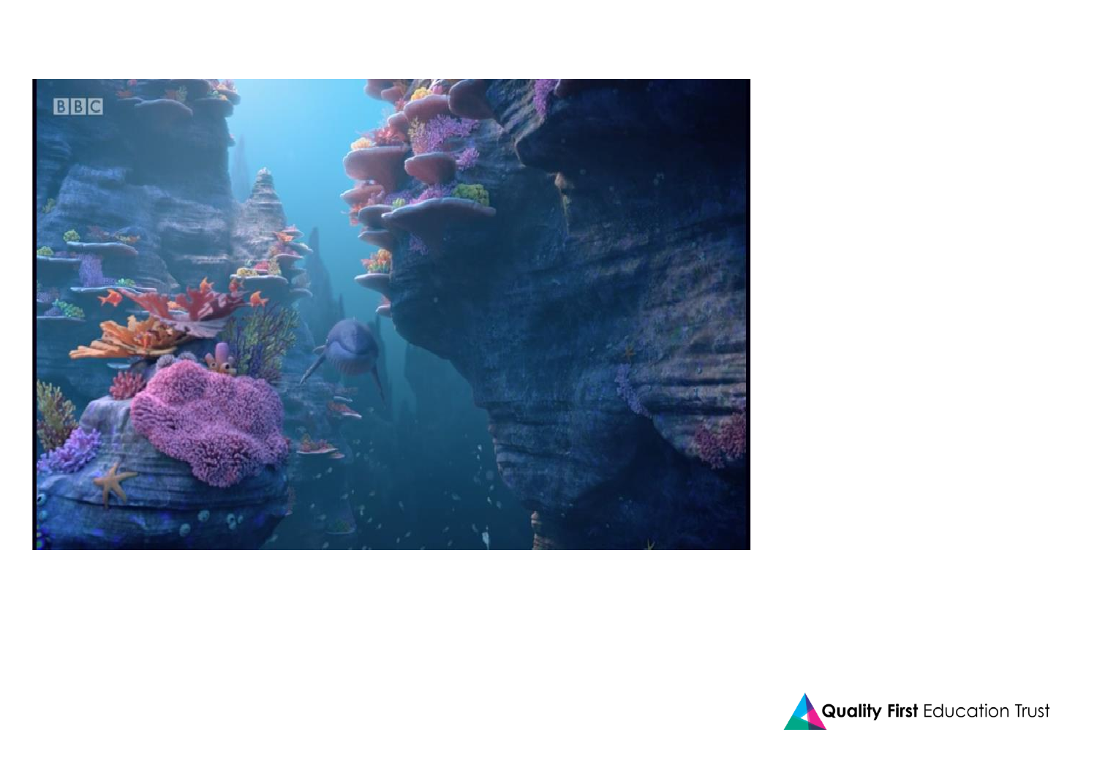

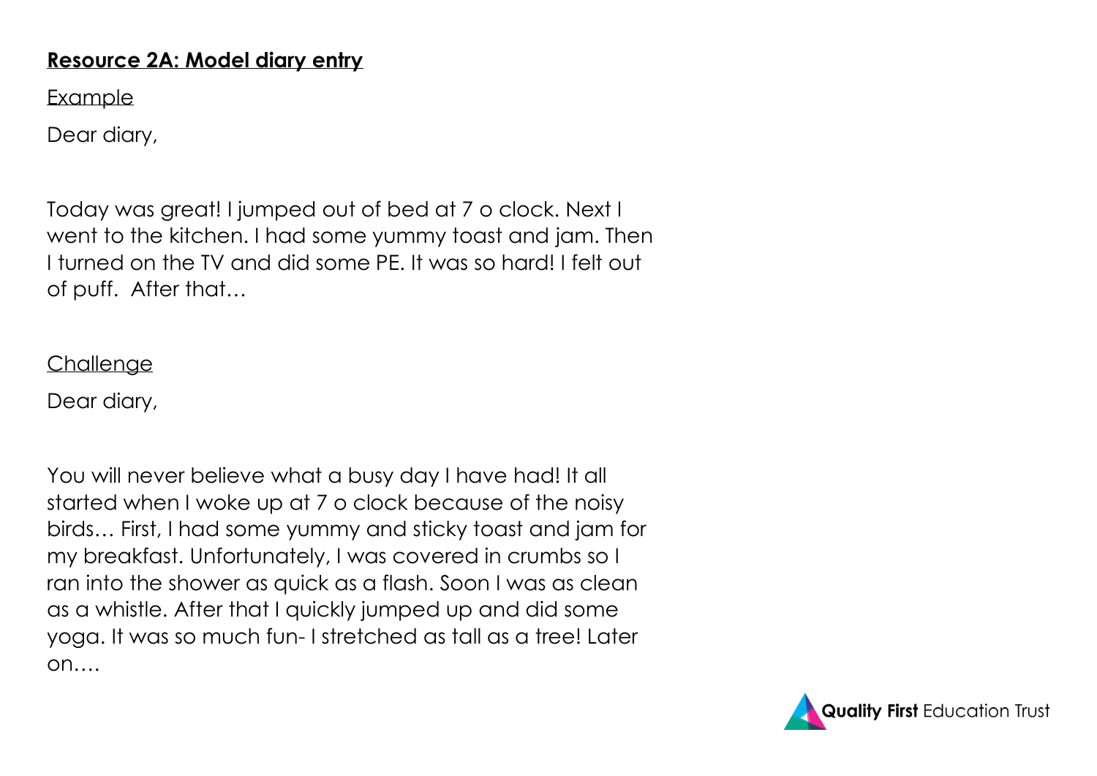#### **Resource 2A: Model diary entry**

Example

Dear diary,

Today was great! I jumped out of bed at 7 o clock. Next I went to the kitchen. I had some yummy toast and jam. Then I turned on the TV and did some PE. It was so hard! I felt out of puff. After that…

# **Challenge**

Dear diary,

You will never believe what a busy day I have had! It all started when I woke up at 7 o clock because of the noisy birds… First, I had some yummy and sticky toast and jam for my breakfast. Unfortunately, I was covered in crumbs so I ran into the shower as quick as a flash. Soon I was as clean as a whistle. After that I quickly jumped up and did some yoga. It was so much fun- I stretched as tall as a tree! Later on….

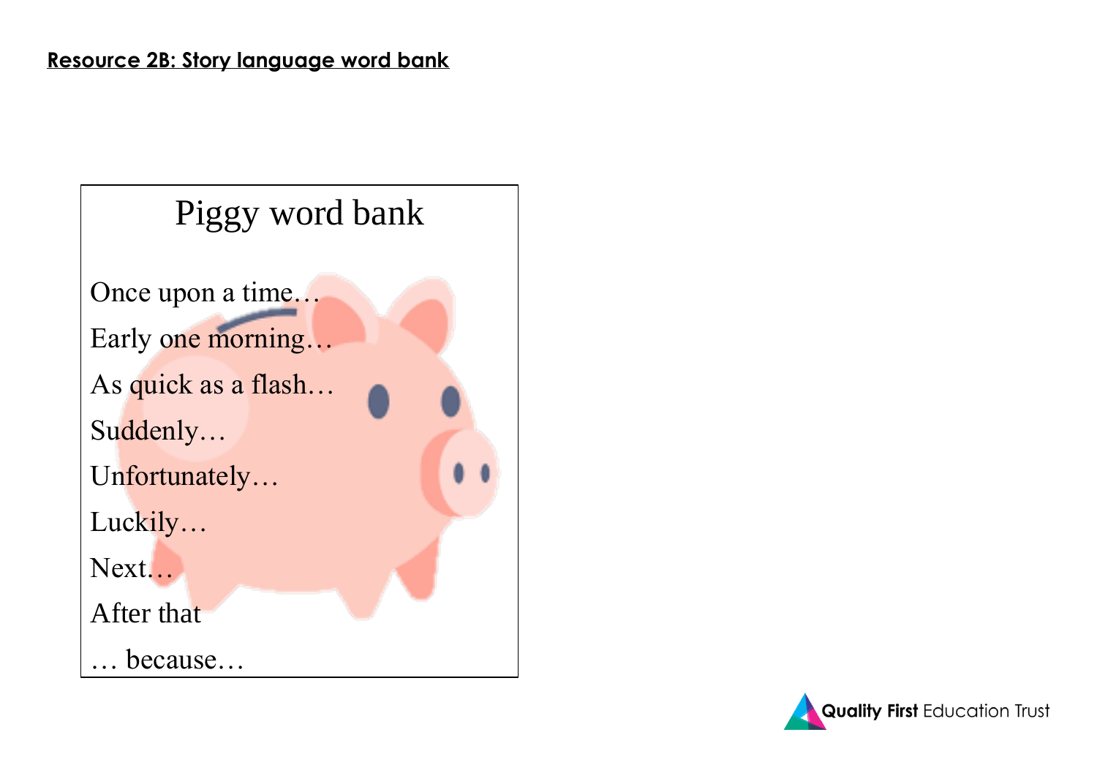## **Resource 2B: Story language word bank**



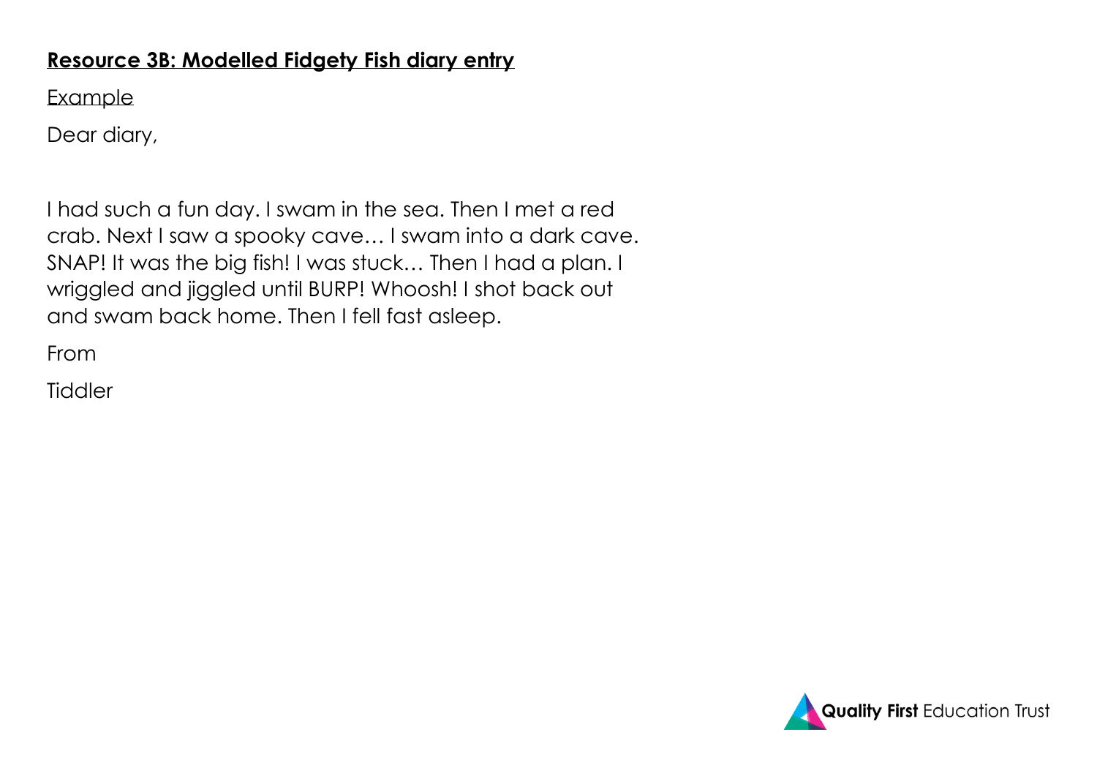## **Resource 3B: Modelled Fidgety Fish diary entry**

Example

Dear diary,

I had such a fun day. I swam in the sea. Then I met a red crab. Next I saw a spooky cave… I swam into a dark cave. SNAP! It was the big fish! I was stuck… Then I had a plan. I wriggled and jiggled until BURP! Whoosh! I shot back out and swam back home. Then I fell fast asleep.

From

**Tiddler** 

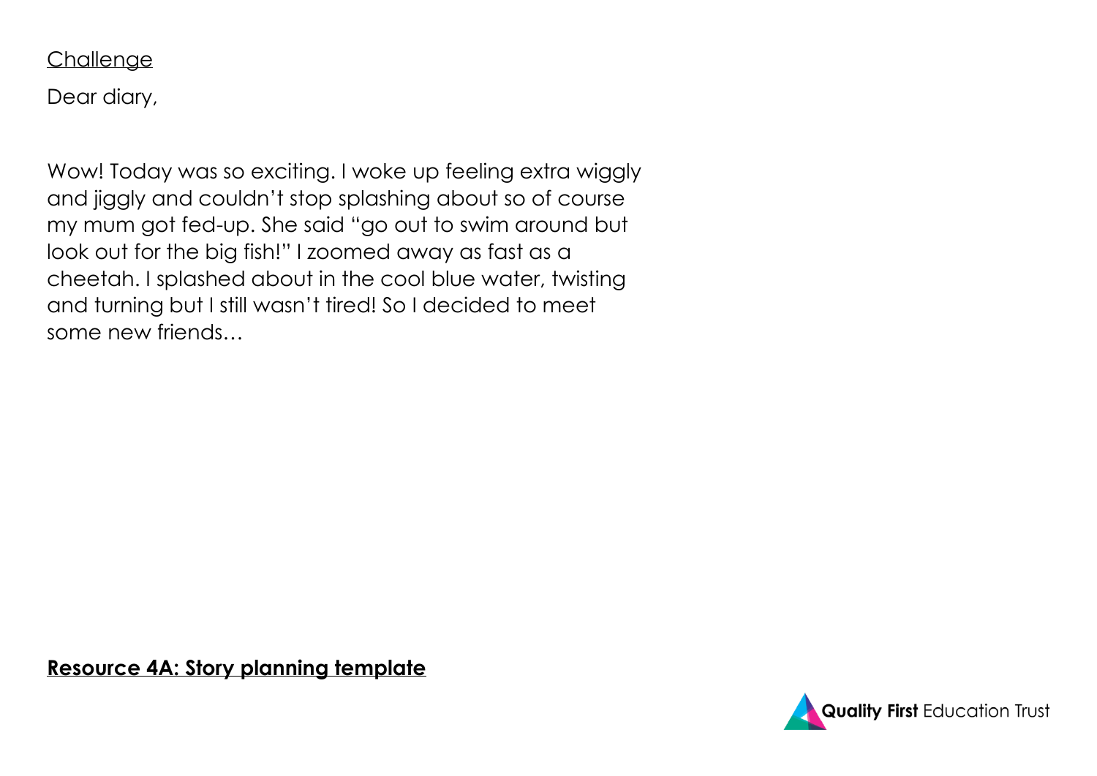#### **Challenge**

Dear diary,

Wow! Today was so exciting. I woke up feeling extra wiggly and jiggly and couldn't stop splashing about so of course my mum got fed-up. She said "go out to swim around but look out for the big fish!" I zoomed away as fast as a cheetah. I splashed about in the cool blue water, twisting and turning but I still wasn't tired! So I decided to meet some new friends…

**Resource 4A: Story planning template**

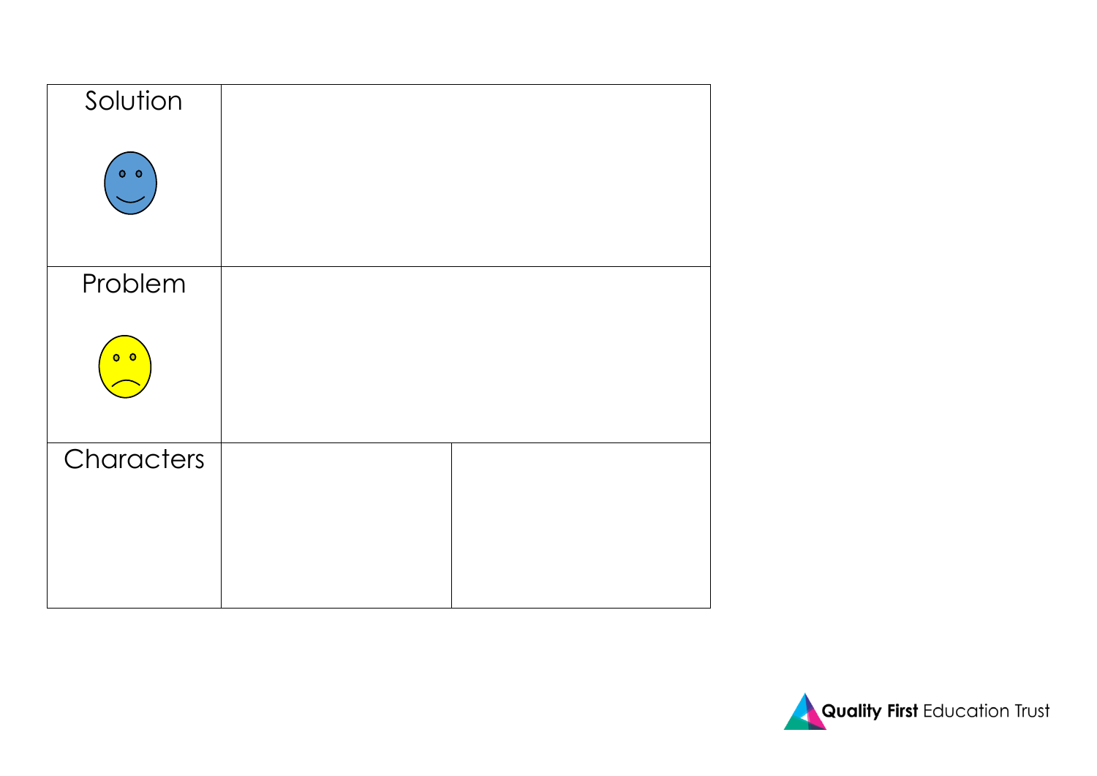| Solution       |  |
|----------------|--|
| 0 <sub>0</sub> |  |
| Problem        |  |
|                |  |
| Characters     |  |
|                |  |
|                |  |

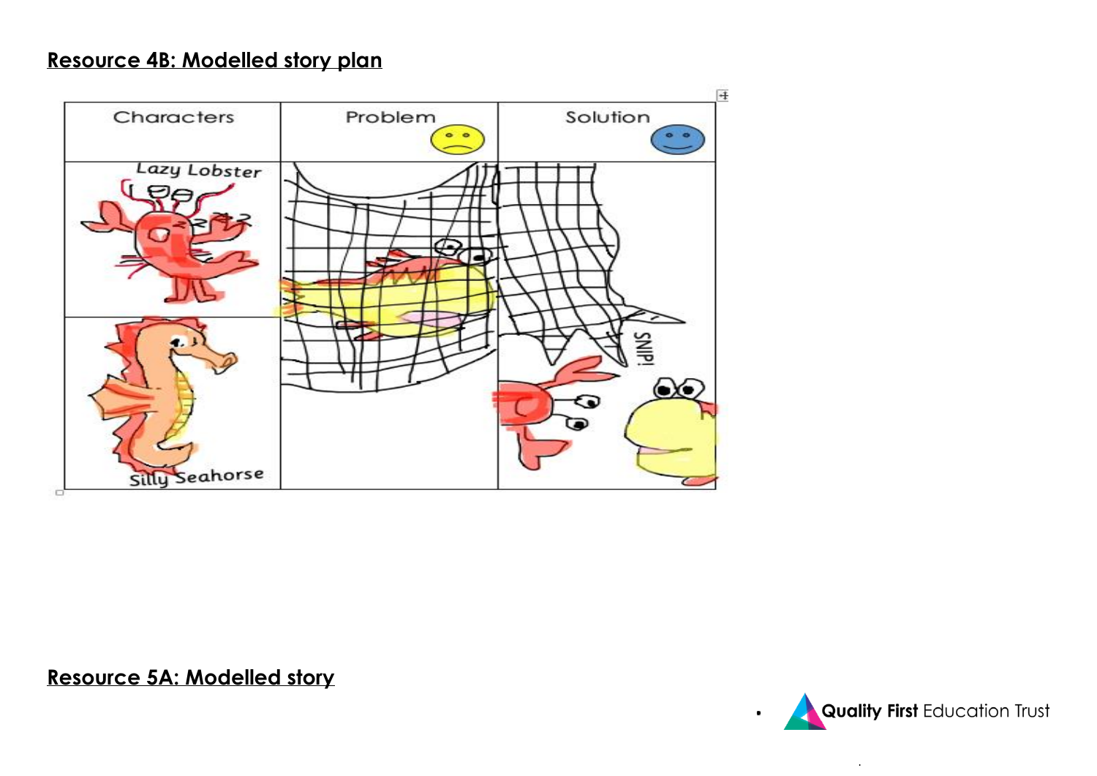# **Resource 4B: Modelled story plan**



**Resource 5A: Modelled story**

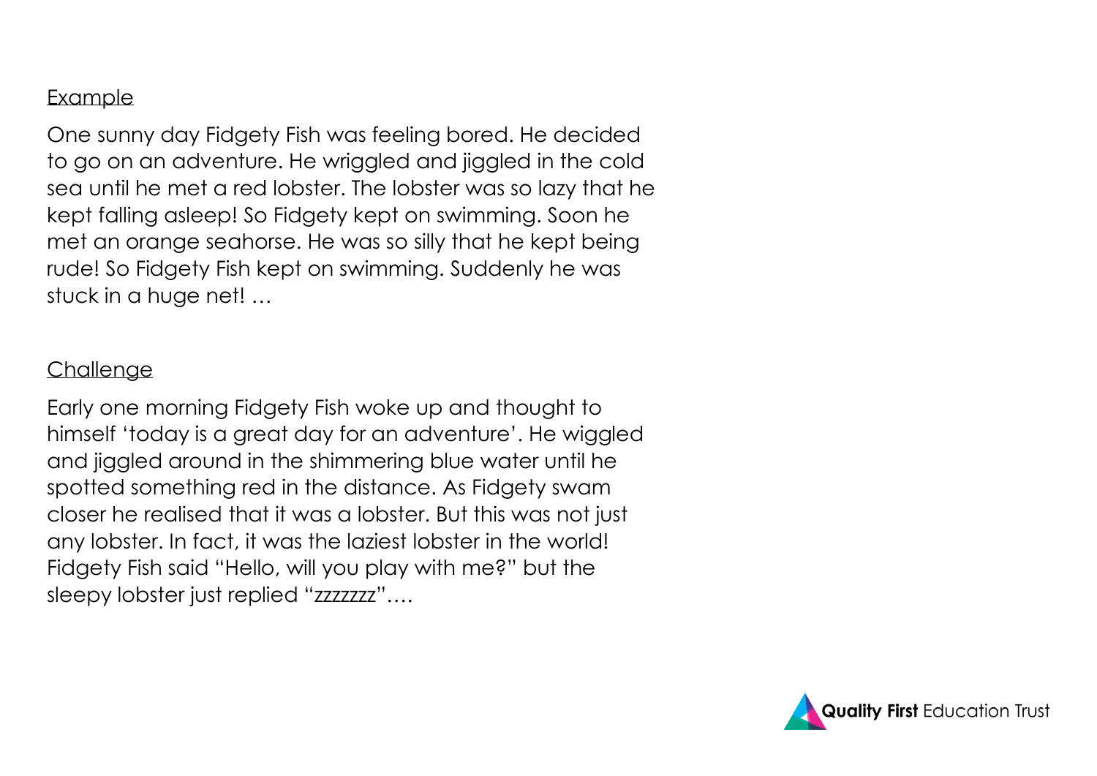#### Example

One sunny day Fidgety Fish was feeling bored. He decided to go on an adventure. He wriggled and jiggled in the cold sea until he met a red lobster. The lobster was so lazy that he kept falling asleep! So Fidgety kept on swimming. Soon he met an orange seahorse. He was so silly that he kept being rude! So Fidgety Fish kept on swimming. Suddenly he was stuck in a huge net! …

#### Challenge

Early one morning Fidgety Fish woke up and thought to himself 'today is a great day for an adventure'. He wiggled and jiggled around in the shimmering blue water until he spotted something red in the distance. As Fidgety swam closer he realised that it was a lobster. But this was not just any lobster. In fact, it was the laziest lobster in the world! Fidgety Fish said "Hello, will you play with me?" but the sleepy lobster just replied "zzzzzzz"….